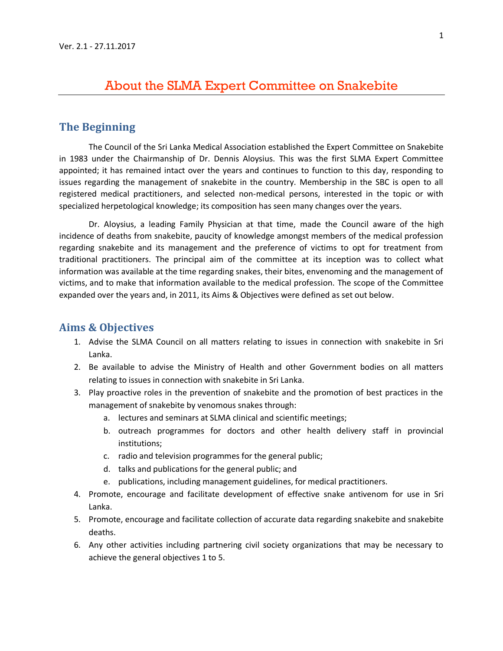# About the SLMA Expert Committee on Snakebite

## **The Beginning**

The Council of the Sri Lanka Medical Association established the Expert Committee on Snakebite in 1983 under the Chairmanship of Dr. Dennis Aloysius. This was the first SLMA Expert Committee appointed; it has remained intact over the years and continues to function to this day, responding to issues regarding the management of snakebite in the country. Membership in the SBC is open to all registered medical practitioners, and selected non-medical persons, interested in the topic or with specialized herpetological knowledge; its composition has seen many changes over the years.

Dr. Aloysius, a leading Family Physician at that time, made the Council aware of the high incidence of deaths from snakebite, paucity of knowledge amongst members of the medical profession regarding snakebite and its management and the preference of victims to opt for treatment from traditional practitioners. The principal aim of the committee at its inception was to collect what information was available at the time regarding snakes, their bites, envenoming and the management of victims, and to make that information available to the medical profession. The scope of the Committee expanded over the years and, in 2011, its Aims & Objectives were defined as set out below.

#### **Aims & Objectives**

- 1. Advise the SLMA Council on all matters relating to issues in connection with snakebite in Sri Lanka.
- 2. Be available to advise the Ministry of Health and other Government bodies on all matters relating to issues in connection with snakebite in Sri Lanka.
- 3. Play proactive roles in the prevention of snakebite and the promotion of best practices in the management of snakebite by venomous snakes through:
	- a. lectures and seminars at SLMA clinical and scientific meetings;
	- b. outreach programmes for doctors and other health delivery staff in provincial institutions;
	- c. radio and television programmes for the general public;
	- d. talks and publications for the general public; and
	- e. publications, including management guidelines, for medical practitioners.
- 4. Promote, encourage and facilitate development of effective snake antivenom for use in Sri Lanka.
- 5. Promote, encourage and facilitate collection of accurate data regarding snakebite and snakebite deaths.
- 6. Any other activities including partnering civil society organizations that may be necessary to achieve the general objectives 1 to 5.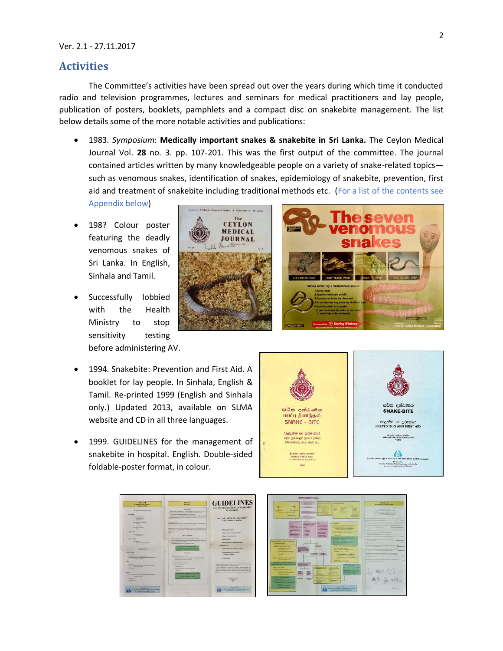### **Activities**

The Committee's activities have been spread out over the years during which time it conducted radio and television programmes, lectures and seminars for medical practitioners and lay people, publication of posters, booklets, pamphlets and a compact disc on snakebite management. The list below details some of the more notable activities and publications:

• 1983. *Symposium*: **Medically important snakes & snakebite in Sri Lanka.** The Ceylon Medical Journal Vol. **28** no. 3. pp. 107-201. This was the first output of the committee. The journal contained articles written by many knowledgeable people on a variety of snake-related topics such as venomous snakes, identification of snakes, epidemiology of snakebite, prevention, first aid and treatment of snakebite including traditional methods etc. (For a list of the contents see

> The **CEYLON** MEDICAL JOURNAL

Appendix below)

- 198? Colour poster featuring the deadly venomous snakes of Sri Lanka. In English, Sinhala and Tamil.
- Successfully lobbied with the Health Ministry to stop sensitivity testing before administering AV.
- 1994. Snakebite: Prevention and First Aid. A booklet for lay people. In Sinhala, English & Tamil. Re-printed 1999 (English and Sinhala only.) Updated 2013, available on SLMA website and CD in all three languages.
- 1999. GUIDELINES for the management of snakebite in hospital. English. Double-sided foldable-poster format, in colour.





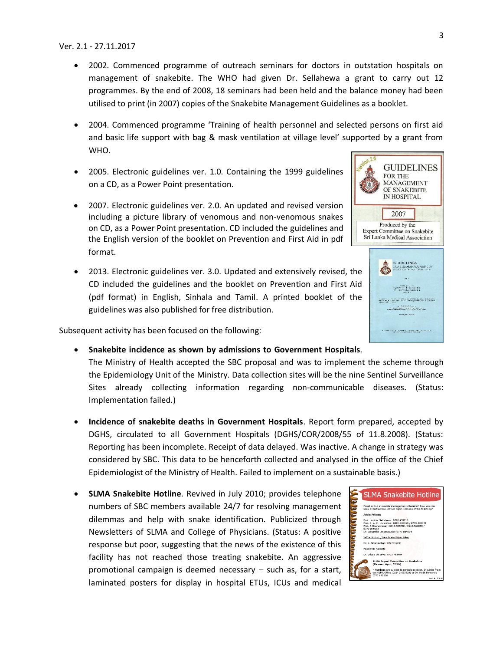- 2002. Commenced programme of outreach seminars for doctors in outstation hospitals on management of snakebite. The WHO had given Dr. Sellahewa a grant to carry out 12 programmes. By the end of 2008, 18 seminars had been held and the balance money had been utilised to print (in 2007) copies of the Snakebite Management Guidelines as a booklet.
- 2004. Commenced programme 'Training of health personnel and selected persons on first aid and basic life support with bag & mask ventilation at village level' supported by a grant from WHO.
- 2005. Electronic guidelines ver. 1.0. Containing the 1999 guidelines on a CD, as a Power Point presentation.
- 2007. Electronic guidelines ver. 2.0. An updated and revised version including a picture library of venomous and non-venomous snakes on CD, as a Power Point presentation. CD included the guidelines and the English version of the booklet on Prevention and First Aid in pdf format.
- 2013. Electronic guidelines ver. 3.0. Updated and extensively revised, the CD included the guidelines and the booklet on Prevention and First Aid (pdf format) in English, Sinhala and Tamil. A printed booklet of the guidelines was also published for free distribution.

Subsequent activity has been focused on the following:

Implementation failed.)

- **Snakebite incidence as shown by admissions to Government Hospitals**. The Ministry of Health accepted the SBC proposal and was to implement the scheme through the Epidemiology Unit of the Ministry. Data collection sites will be the nine Sentinel Surveillance Sites already collecting information regarding non-communicable diseases. (Status:
- **Incidence of snakebite deaths in Government Hospitals**. Report form prepared, accepted by DGHS, circulated to all Government Hospitals (DGHS/COR/2008/55 of 11.8.2008). (Status: Reporting has been incomplete. Receipt of data delayed. Was inactive. A change in strategy was considered by SBC. This data to be henceforth collected and analysed in the office of the Chief Epidemiologist of the Ministry of Health. Failed to implement on a sustainable basis.)
- **SLMA Snakebite Hotline**. Revived in July 2010; provides telephone numbers of SBC members available 24/7 for resolving management dilemmas and help with snake identification. Publicized through Newsletters of SLMA and College of Physicians. (Status: A positive response but poor, suggesting that the news of the existence of this facility has not reached those treating snakebite. An aggressive promotional campaign is deemed necessary – such as, for a start, laminated posters for display in hospital ETUs, ICUs and medical





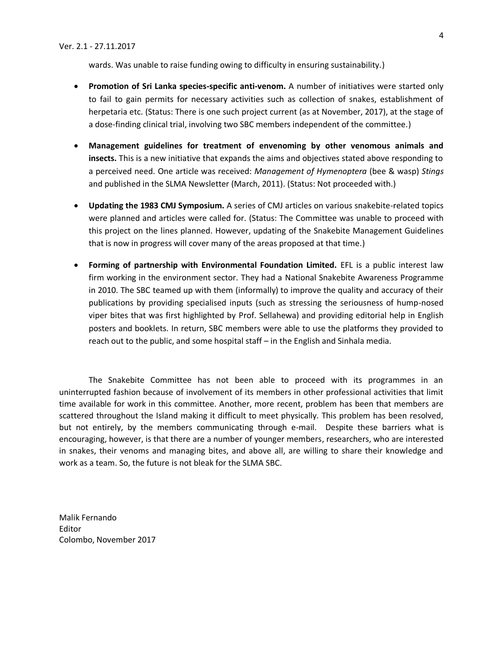wards. Was unable to raise funding owing to difficulty in ensuring sustainability.)

- **Promotion of Sri Lanka species-specific anti-venom.** A number of initiatives were started only to fail to gain permits for necessary activities such as collection of snakes, establishment of herpetaria etc. (Status: There is one such project current (as at November, 2017), at the stage of a dose-finding clinical trial, involving two SBC members independent of the committee.)
- **Management guidelines for treatment of envenoming by other venomous animals and insects.** This is a new initiative that expands the aims and objectives stated above responding to a perceived need. One article was received: *Management of Hymenoptera* (bee & wasp) *Stings* and published in the SLMA Newsletter (March, 2011). (Status: Not proceeded with.)
- **Updating the 1983 CMJ Symposium.** A series of CMJ articles on various snakebite-related topics were planned and articles were called for. (Status: The Committee was unable to proceed with this project on the lines planned. However, updating of the Snakebite Management Guidelines that is now in progress will cover many of the areas proposed at that time.)
- **Forming of partnership with Environmental Foundation Limited.** EFL is a public interest law firm working in the environment sector. They had a National Snakebite Awareness Programme in 2010. The SBC teamed up with them (informally) to improve the quality and accuracy of their publications by providing specialised inputs (such as stressing the seriousness of hump-nosed viper bites that was first highlighted by Prof. Sellahewa) and providing editorial help in English posters and booklets. In return, SBC members were able to use the platforms they provided to reach out to the public, and some hospital staff – in the English and Sinhala media.

The Snakebite Committee has not been able to proceed with its programmes in an uninterrupted fashion because of involvement of its members in other professional activities that limit time available for work in this committee. Another, more recent, problem has been that members are scattered throughout the Island making it difficult to meet physically. This problem has been resolved, but not entirely, by the members communicating through e-mail. Despite these barriers what is encouraging, however, is that there are a number of younger members, researchers, who are interested in snakes, their venoms and managing bites, and above all, are willing to share their knowledge and work as a team. So, the future is not bleak for the SLMA SBC.

Malik Fernando Editor Colombo, November 2017